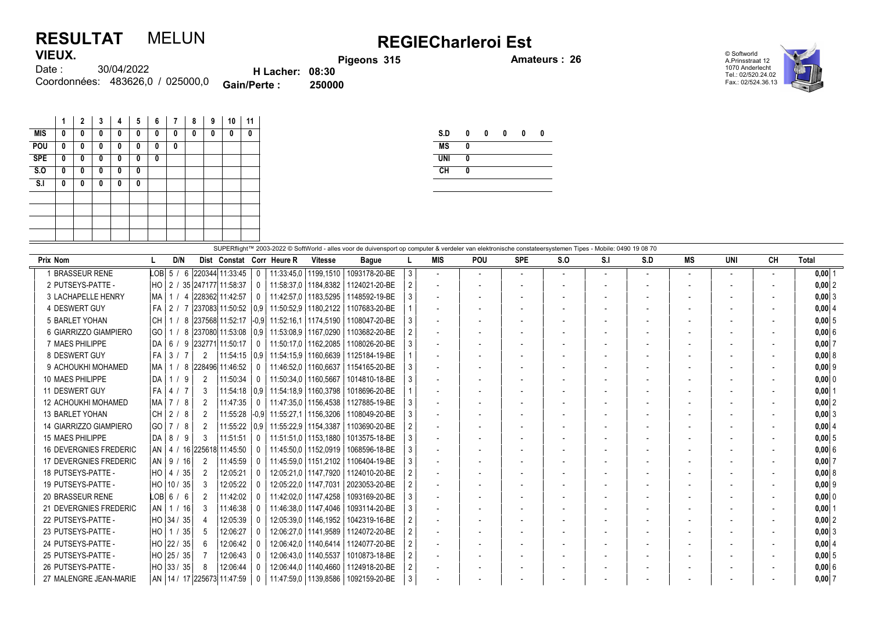## RESULTAT MELUN REGIECharleroi Est VIEUX.

Pigeons 315 Amateurs : 26

© Softworld A.Prinsstraat 12 1070 Anderlecht Tel.: 02/520.24.02 Fax.: 02/524.36.13



30/04/2022 Coordonnées: 483626,0 / 025000,0 **Gain/Perte : 250000** Date : H Lacher: 08:30<br>Perte : 250000

|            | 1 | 2 | 3 | 4 | 5 | 6 | 7 | 8 | 9 | 10 | 11 |
|------------|---|---|---|---|---|---|---|---|---|----|----|
| MIS        | 0 | 0 | 0 | 0 | 0 | 0 | 0 | 0 | 0 | 0  | 0  |
| POU        | 0 | 0 | 0 | 0 | 0 | 0 | 0 |   |   |    |    |
| <b>SPE</b> | 0 | 0 | 0 | 0 | 0 | 0 |   |   |   |    |    |
| S.0        | 0 | 0 | 0 | 0 | 0 |   |   |   |   |    |    |
| S.I        | 0 | 0 | 0 | 0 | 0 |   |   |   |   |    |    |
|            |   |   |   |   |   |   |   |   |   |    |    |
|            |   |   |   |   |   |   |   |   |   |    |    |
|            |   |   |   |   |   |   |   |   |   |    |    |
|            |   |   |   |   |   |   |   |   |   |    |    |

| S.D        | 0 | 0 | 0 | 0 | 0 |
|------------|---|---|---|---|---|
| <b>MS</b>  | Λ |   |   |   |   |
| <b>UNI</b> | 0 |   |   |   |   |
| CH         | Λ |   |   |   |   |
|            |   |   |   |   |   |

|                               |           |        |             |   |                | SUPERflight™ 2003-2022 © SoftWorld - alles voor de duivensport op computer & verdeler van elektronische constateersystemen Tipes - Mobile: 0490 19 08 70 |              |                                                            |                        |                                        |   |                          |                |                          |     |     |     |                          |                          |                          |            |
|-------------------------------|-----------|--------|-------------|---|----------------|----------------------------------------------------------------------------------------------------------------------------------------------------------|--------------|------------------------------------------------------------|------------------------|----------------------------------------|---|--------------------------|----------------|--------------------------|-----|-----|-----|--------------------------|--------------------------|--------------------------|------------|
| Prix Nom                      |           |        | D/N         |   |                |                                                                                                                                                          |              | Dist Constat Corr Heure R                                  | <b>Vitesse</b>         | <b>Bague</b>                           |   | <b>MIS</b>               | POU            | <b>SPE</b>               | S.O | S.I | S.D | МS                       | <b>UNI</b>               | CH                       | Total      |
| 1 BRASSEUR RENE               |           | LOB 5/ |             | 6 |                | 220344 11:33:45                                                                                                                                          | $\mathbf{0}$ |                                                            | 11:33:45,0   1199,1510 | 1093178-20-BE                          | 3 |                          | $\overline{a}$ | $\overline{\phantom{a}}$ |     |     |     |                          | $\overline{\phantom{a}}$ | $\overline{\phantom{a}}$ | $0.00$   1 |
| 2 PUTSEYS-PATTE -             |           |        |             |   |                | HO   2 / 35   247177   11:58:37                                                                                                                          | $\mathbf{0}$ |                                                            | 11:58:37.0   1184.8382 | 1124021-20-BE                          |   |                          |                |                          |     |     |     |                          |                          |                          | 0.0012     |
| 3 LACHAPELLE HENRY            | MA        |        | 114         |   |                | 228362 11:42:57                                                                                                                                          | $\Omega$     |                                                            | 11:42:57.0   1183.5295 | 1148592-19-BE                          |   | $\overline{\phantom{a}}$ |                |                          |     |     |     |                          |                          |                          | $0,00$ 3   |
| 4 DESWERT GUY                 | FA I      |        |             |   |                | │ 2 / 7  237083  11:50:52 │0.9│                                                                                                                          |              | 11:50:52.9                                                 | 1180.2122              | 1107683-20-BE                          |   |                          |                |                          |     |     |     |                          |                          |                          | 0.0014     |
| 5 BARLET YOHAN                | <b>CH</b> |        |             |   |                | 8 237568 11:52:17                                                                                                                                        |              | 1-0.9 11:52:16.1 1174.5190                                 |                        | 1108047-20-BE                          |   | $\overline{\phantom{a}}$ |                |                          |     |     |     | $\overline{\phantom{a}}$ | $\overline{\phantom{a}}$ |                          | 0.0015     |
| 6 GIARRIZZO GIAMPIERO         |           |        |             |   |                |                                                                                                                                                          |              | GO   1 / 8  237080 11:53:08   0.9   11:53:08.9   1167.0290 |                        | 1103682-20-BE                          |   |                          |                |                          |     |     |     |                          |                          |                          | $0.00$ 6   |
| 7 MAES PHILIPPE               | I DA I    |        | 6/9         |   |                | 232771 11:50:17                                                                                                                                          | $\mathbf{0}$ |                                                            | 11:50:17.0   1162.2085 | 1108026-20-BE                          |   |                          |                |                          |     |     |     |                          |                          |                          | 0.0017     |
| 8 DESWERT GUY                 | FA I      |        | 3/7         |   | $\overline{2}$ | 11:54:15                                                                                                                                                 | 0.9          | 11:54:15.9   1160.6639                                     |                        | 1125184-19-BE                          |   |                          |                |                          |     |     |     |                          |                          |                          | 0,008      |
| 9 ACHOUKHI MOHAMED            | MA        |        |             |   |                | 1 / 8 228496 11:46:52                                                                                                                                    | $\Omega$     | 11:46:52.0                                                 | 1160.6637              | 1154165-20-BE                          |   |                          |                |                          |     |     |     |                          |                          |                          | $0.00$  9  |
| 10 MAES PHILIPPE              | da        |        | 1/9         |   | 2              | 11:50:34                                                                                                                                                 | $\Omega$     | 11:50:34,0                                                 | 1160,5667              | 1014810-18-BE                          |   | $\overline{\phantom{a}}$ |                |                          |     |     |     |                          |                          |                          | $0,00$ 0   |
| 11 DESWERT GUY                | FA        |        | 4/7         |   | 3              |                                                                                                                                                          |              | 11:54:18   0.9   11:54:18.9                                | 1160,3798              | 1018696-20-BE                          |   |                          |                |                          |     |     |     |                          |                          |                          | $0,00$   1 |
| 12 ACHOUKHI MOHAMED           |           |        | MA   7 / 8  |   | 2              | 11:47:35                                                                                                                                                 | $\mathbf{0}$ |                                                            | 11:47:35,0   1156,4538 | 1127885-19-BE                          |   |                          |                |                          |     |     |     |                          |                          |                          | 0.0012     |
| <b>13 BARLET YOHAN</b>        | l CH I    |        | $2/8$       |   | 2              |                                                                                                                                                          |              | 11:55:28 -0.9 11:55:27.1                                   | 1156,3206              | 1108049-20-BE                          |   |                          |                |                          |     |     |     |                          |                          |                          | $0,00$ 3   |
| 14 GIARRIZZO GIAMPIERO        |           |        | GO 7 / 8    |   | 2              |                                                                                                                                                          |              | 11:55:22   0.9   11:55:22.9   1154.3387                    |                        | 1103690-20-BE                          |   |                          |                |                          |     |     |     |                          |                          |                          | $0,00$ 4   |
| 15 MAES PHILIPPE              |           |        | DA 8 / 9    |   | 3              | 11:51:51                                                                                                                                                 | $\mathbf{0}$ |                                                            | 11:51:51.0   1153.1880 | 1013575-18-BE                          |   | $\overline{\phantom{a}}$ |                |                          |     |     |     |                          |                          |                          | 0.0015     |
| <b>16 DEVERGNIES FREDERIC</b> |           |        |             |   |                | AN   4 / 16 225618 11:45:50                                                                                                                              | $\Omega$     |                                                            | 11:45:50.0   1152.0919 | 1068596-18-BE                          |   | $\overline{\phantom{a}}$ |                |                          |     |     |     |                          |                          |                          | 0.00 6     |
| 17 DEVERGNIES FREDERIC        |           |        | AN   9 / 16 |   | 2              | 11:45:59                                                                                                                                                 | $\Omega$     |                                                            | 11:45:59,0   1151,2102 | 1106404-19-BE                          |   | $\overline{\phantom{a}}$ |                |                          |     |     |     |                          |                          |                          | $0,00$ 7   |
| 18 PUTSEYS-PATTE -            |           |        | HO 4 / 35   |   | 2              | 12:05:21                                                                                                                                                 |              |                                                            | 12:05:21.0   1147.7920 | 1124010-20-BE                          |   | $\overline{\phantom{a}}$ |                |                          |     |     |     |                          | $\overline{\phantom{a}}$ |                          | $0.00$ 8   |
| 19 PUTSEYS-PATTE -            |           |        | HO 10 / 35  |   | 3              | 12:05:22                                                                                                                                                 | $\mathbf{0}$ |                                                            |                        | 12:05:22.0   1147.7031   2023053-20-BE |   |                          |                |                          |     |     |     |                          |                          |                          | $0.00$  9  |
| 20 BRASSEUR RENE              |           |        | LOB 6 / 6   |   | 2              | 11:42:02                                                                                                                                                 | $\Omega$     |                                                            | 11:42:02.0   1147.4258 | 1093169-20-BE                          |   |                          |                |                          |     |     |     |                          |                          |                          | 0.00 0     |
| 21 DEVERGNIES FREDERIC        |           |        | AN 1 / 16   |   | 3              | 11:46:38                                                                                                                                                 | $\Omega$     |                                                            | 11:46:38.0   1147.4046 | 1093114-20-BE                          |   |                          |                |                          |     |     |     |                          |                          |                          | 0.0011     |
| 22 PUTSEYS-PATTE -            |           |        |             |   | 4              | 12:05:39                                                                                                                                                 |              |                                                            | 12:05:39.0   1146.1952 | 1042319-16-BE                          |   | $\overline{\phantom{a}}$ |                |                          |     |     |     | $\overline{\phantom{a}}$ | $\overline{\phantom{a}}$ |                          | 0.0012     |
| 23 PUTSEYS-PATTE -            |           |        | HO 1 / 35   |   | -5             | 12:06:27                                                                                                                                                 |              |                                                            | 12:06:27.0   1141.9589 | 1124072-20-BE                          |   | $\overline{\phantom{a}}$ |                |                          |     |     |     |                          |                          |                          | 0.0013     |
| 24 PUTSEYS-PATTE -            |           |        |             |   | -6             | 12:06:42                                                                                                                                                 |              |                                                            | 12:06:42.0   1140.6414 | 1124077-20-BE                          |   | $\overline{\phantom{a}}$ |                |                          |     |     |     |                          |                          |                          | 0.0014     |
| 25 PUTSEYS-PATTE -            |           |        | HO 25 / 35  |   |                | 12:06:43                                                                                                                                                 |              |                                                            | 12:06:43.0   1140.5537 | 1010873-18-BE                          |   | $\overline{\phantom{a}}$ |                |                          |     |     |     | $\overline{\phantom{a}}$ | $\overline{\phantom{0}}$ |                          | 0.0015     |
| 26 PUTSEYS-PATTE -            |           |        | HO 33 / 35  |   | -8             | 12:06:44                                                                                                                                                 | $\Omega$     |                                                            | 12:06:44.0   1140.4660 | 1124918-20-BE                          |   |                          |                |                          |     |     |     |                          |                          |                          | $0.00$ 6   |
| 27 MALENGRE JEAN-MARIE        |           |        |             |   |                | AN   14 / 17   225673   11:47:59                                                                                                                         |              |                                                            | 11:47:59.0   1139.8586 | 1092159-20-BE                          |   |                          |                |                          |     |     |     |                          |                          |                          | 0.0017     |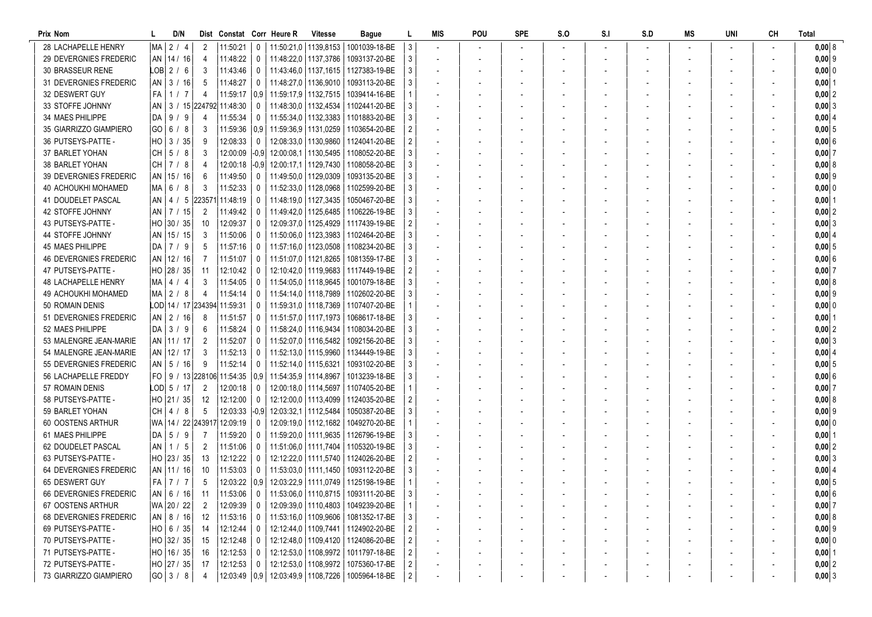| Prix Nom                      |      | D/N           |                | Dist Constat Corr Heure R           |                         |                        | <b>Vitesse</b>         | Bague                                                   |                           | MIS | POU | <b>SPE</b> | S.O | S.I | S.D | MS | UNI | CН | <b>Total</b>  |
|-------------------------------|------|---------------|----------------|-------------------------------------|-------------------------|------------------------|------------------------|---------------------------------------------------------|---------------------------|-----|-----|------------|-----|-----|-----|----|-----|----|---------------|
| 28 LACHAPELLE HENRY           |      | MA 2 / 4      | 2              | 11:50:21                            | $\overline{0}$          |                        | 11:50:21.0   1139.8153 | 1001039-18-BE                                           | 3                         |     |     |            |     |     |     |    |     |    | 0,008         |
| 29 DEVERGNIES FREDERIC        |      | AN 14 / 16    | 4              | 11:48:22                            | 0                       |                        | 11:48:22,0 1137,3786   | 1093137-20-BE                                           | 3                         |     |     |            |     |     |     |    |     |    | $0,00$ 9      |
| 30 BRASSEUR RENE              |      | LOB 2 / 6     | -3             | 11:43:46                            | 0                       |                        |                        | 11:43:46.0   1137.1615   1127383-19-BE                  | 3                         |     |     |            |     |     |     |    |     |    | 0,00 0        |
| 31 DEVERGNIES FREDERIC        | AN   | 3/16          | -5             | 11:48:27                            | 0                       |                        | 11:48:27,0   1136,9010 | 1093113-20-BE                                           | 3                         |     |     |            |     |     |     |    |     |    | $0,00$  1     |
| 32 DESWERT GUY                | FA I | 1/7           | 4              | 11:59:17                            | 0.9                     | 11:59:17,9 1132,7515   |                        | 1039414-16-BE                                           |                           |     |     |            |     |     |     |    |     |    | $0,00$ 2      |
| 33 STOFFE JOHNNY              | an   |               |                | 3 / 15 224792 11:48:30              | 0                       |                        | 11:48:30.0   1132.4534 | 1102441-20-BE                                           | 3                         |     |     |            |     |     |     |    |     |    | $0,00$ 3      |
| 34 MAES PHILIPPE              | DA I | 9/<br>-9      |                | 11:55:34                            | 0                       |                        | 11:55:34,0   1132,3383 | 1101883-20-BE                                           | 3                         |     |     |            |     |     |     |    |     |    | 0,0014        |
| 35 GIARRIZZO GIAMPIERO        |      | GO 6/8        | -3             | 11:59:36                            | 0.9                     | 11:59:36.9   1131.0259 |                        | 1103654-20-BE                                           | 2                         |     |     |            |     |     |     |    |     |    | 0,005         |
| 36 PUTSEYS-PATTE -            |      | HO 3 / 35     | -9             | 12:08:33                            | $\mathbf 0$             |                        | 12:08:33,0   1130,9860 | 1124041-20-BE                                           |                           |     |     |            |     |     |     |    |     |    | 0,006         |
| 37 BARLET YOHAN               | CH I | 5/8           | -3             | 12:00:09 -0.9                       |                         |                        | 12:00:08.1   1130.5495 | 1108052-20-BE                                           | 3                         |     |     |            |     |     |     |    |     |    | 0,007         |
| 38 BARLET YOHAN               |      | CH 7/8        | -4             | 12:00:18 -0,9                       |                         |                        | 12:00:17.1   1129.7430 | 1108058-20-BE                                           | 3                         |     |     |            |     |     |     |    |     |    | 0,00 8        |
| <b>39 DEVERGNIES FREDERIC</b> |      | AN   15 / 16  | -6             | $11:49:50$ 0                        |                         |                        | 11:49:50.0   1129.0309 | 1093135-20-BE                                           | 3                         |     |     |            |     |     |     |    |     |    | $0,00$  9     |
| 40 ACHOUKHI MOHAMED           |      | MA 6/8        | -3             | 11:52:33                            | 0                       |                        | 11:52:33,0   1128,0968 | 1102599-20-BE                                           | 3                         |     |     |            |     |     |     |    |     |    | 0,00 0        |
| 41 DOUDELET PASCAL            |      | $AN$   4 / 5  |                | 223571  11:48:19                    | 0                       |                        | 11:48:19.0   1127.3435 | 1050467-20-BE                                           | 3                         |     |     |            |     |     |     |    |     |    | $0,00$ 1      |
| 42 STOFFE JOHNNY              |      | AN   7 / 15   | $\overline{2}$ | 11:49:42                            | 0                       |                        | 11:49:42.0   1125.6485 | 1106226-19-BE                                           | 3                         |     |     |            |     |     |     |    |     |    | 0,002         |
| 43 PUTSEYS-PATTE -            |      | HO 30 / 35    | -10            | 12:09:37                            | 0                       |                        | 12:09:37.0   1125.4929 | 1117439-19-BE                                           | $\overline{2}$            |     |     |            |     |     |     |    |     |    | $0,00$ 3      |
| 44 STOFFE JOHNNY              |      | AN   15 / 15  | -3             | 11:50:06                            | 0                       |                        | 11:50:06.0   1123.3983 | 1102464-20-BE                                           | 3                         |     |     |            |     |     |     |    |     |    | 0,004         |
| 45 MAES PHILIPPE              |      | DA 7 / 9      | .5             | 11:57:16                            | 0                       |                        | 11:57:16.0   1123.0508 | 1108234-20-BE                                           | 3                         |     |     |            |     |     |     |    |     |    | $0,00$ 5      |
| <b>46 DEVERGNIES FREDERIC</b> |      | AN   12 / 16  | -7             | 11:51:07                            | 0                       |                        | 11:51:07.0   1121.8265 | 1081359-17-BE                                           |                           |     |     |            |     |     |     |    |     |    | 0,006         |
| 47 PUTSEYS-PATTE -            |      | HO 28 / 35    | -11            | 12:10:42                            | 0                       |                        |                        | 12:10:42.0   1119.9683   1117449-19-BE                  | $\overline{2}$            |     |     |            |     |     |     |    |     |    | 0,007         |
| <b>48 LACHAPELLE HENRY</b>    |      | MA   4 / 4    | -3             | 11:54:05                            | 0                       |                        | 11:54:05.0   1118.9645 | 1001079-18-BE                                           | 3                         |     |     |            |     |     |     |    |     |    | 0,00 8        |
| 49 ACHOUKHI MOHAMED           |      | MA 2 / 8      | -4             | 11:54:14                            | 0                       |                        | 11:54:14.0   1118.7989 | 1102602-20-BE                                           | 3                         |     |     |            |     |     |     |    |     |    | $0,00$  9     |
| 50 ROMAIN DENIS               |      |               |                | LOD 14 / 17 234394 11:59:31         | 0                       |                        | 11:59:31.0   1118.7369 | 1107407-20-BE                                           |                           |     |     |            |     |     |     |    |     |    | $0,00$ 0      |
| 51 DEVERGNIES FREDERIC        | AN I | 2/16          | -8             | 11:51:57                            | 0                       |                        | 11:51:57,0   1117,1973 | 1068617-18-BE                                           | 3                         |     |     |            |     |     |     |    |     |    | $0,00$ 1      |
| 52 MAES PHILIPPE              | DA I | 3/9           | -6             | 11:58:24                            | 0                       | 11:58:24,0   1116,9434 |                        | 1108034-20-BE                                           | 3                         |     |     |            |     |     |     |    |     |    | $0,00$ 2      |
| 53 MALENGRE JEAN-MARIE        |      | AN   11 / 17  | $\overline{2}$ | 11:52:07                            | 0                       |                        | 11:52:07.0   1116.5482 | 1092156-20-BE                                           | 3                         |     |     |            |     |     |     |    |     |    | $0,00$ 3      |
| 54 MALENGRE JEAN-MARIE        |      | AN   12 / 17  | -3             | 11:52:13                            | 0                       |                        | 11:52:13,0   1115,9960 | 1134449-19-BE                                           |                           |     |     |            |     |     |     |    |     |    | 0,004         |
| 55 DEVERGNIES FREDERIC        |      | $AN$   5 / 16 | -9             | 11:52:14                            | 0                       | 11:52:14.0   1115.6321 |                        | 1093102-20-BE                                           |                           |     |     |            |     |     |     |    |     |    | $0,00$ 5      |
| 56 LACHAPELLE FREDDY          |      |               |                | FO   9 / 13 228106   11:54:35   0,9 |                         | 11:54:35,9 1114,8967   |                        | 1013239-18-BE                                           | 3                         |     |     |            |     |     |     |    |     |    | 0,006         |
| 57 ROMAIN DENIS               |      | LOD  5 / 17   | $\overline{2}$ | $12:00:18$ 0                        |                         |                        | 12:00:18.0   1114.5697 | 1107405-20-BE                                           |                           |     |     |            |     |     |     |    |     |    | $0,00$ 7      |
| 58 PUTSEYS-PATTE -            |      | HO  21 / 35   | -12            | 12:12:00                            | $\overline{\mathbf{0}}$ |                        | 12:12:00.0   1113.4099 | 1124035-20-BE                                           | $\overline{c}$            |     |     |            |     |     |     |    |     |    | 0,008         |
| 59 BARLET YOHAN               | CH I | 4/8           | -5             | 12:03:33                            | $ -0,9$                 |                        | 12:03:32,1   1112,5484 | 1050387-20-BE                                           | 3                         |     |     |            |     |     |     |    |     |    | $0,00$ 9      |
| 60 OOSTENS ARTHUR             |      |               |                | WA   14 / 22  243917  12:09:19      | 0                       |                        | 12:09:19.0   1112,1682 | 1049270-20-BE                                           |                           |     |     |            |     |     |     |    |     |    | $0,000$ 0     |
| 61 MAES PHILIPPE              | DA I | 5/9           |                | 11:59:20                            | $\mathbf{0}$            |                        | 11:59:20.0   1111.9635 | 1126796-19-BE                                           | 3                         |     |     |            |     |     |     |    |     |    | $0,00$ 1      |
| 62 DOUDELET PASCAL            |      | $AN$   1 / 5  | 2              | 11:51:06                            | 0                       |                        | 11:51:06.0   1111.7404 | 1105320-19-BE                                           | 3                         |     |     |            |     |     |     |    |     |    | $0,00$  2     |
| 63 PUTSEYS-PATTE              |      | HO 23 / 35    | -13            | 12:12:22                            | 0                       |                        |                        | 12:12:22.0   1111.5740   1124026-20-BE                  | 2                         |     |     |            |     |     |     |    |     |    | $0,00$ 3      |
| 64 DEVERGNIES FREDERIC        |      | AN   11 / 16  | -10            | 11:53:03                            | 0                       |                        |                        | 11:53:03.0   1111.1450   1093112-20-BE                  | 3                         |     |     |            |     |     |     |    |     |    | $0,00$ 4      |
| 65 DESWERT GUY                |      | FA 7 / 7      | -5             |                                     |                         |                        |                        | 12:03:22   0,9   12:03:22,9   1111,0749   1125198-19-BE |                           |     |     |            |     |     |     |    |     |    | $0,00 \mid 5$ |
| 66 DEVERGNIES FREDERIC        |      | AN   6 / 16   | 11             | 11:53:06 0                          |                         |                        |                        | 11:53:06,0   1110,8715   1093111-20-BE                  | $\ensuremath{\mathsf{3}}$ |     |     |            |     |     |     |    |     |    | $0,00$ 6      |
| 67 OOSTENS ARTHUR             |      | WA 20 / 22    | 2              | $12:09:39$ 0                        |                         |                        |                        | 12:09:39,0   1110,4803   1049239-20-BE                  | 1                         |     |     |            |     |     |     |    |     |    | 0,007         |
| <b>68 DEVERGNIES FREDERIC</b> |      | AN 8/16       | 12             | $11:53:16$ 0                        |                         |                        |                        | 11:53:16,0   1109,9606   1081352-17-BE                  | 3                         |     |     |            |     |     |     |    |     |    | 0,008         |
| 69 PUTSEYS-PATTE -            |      | HO  6 / 35    | - 14           | $12:12:44$ 0                        |                         |                        |                        | 12:12:44,0   1109,7441   1124902-20-BE                  | 2                         |     |     |            |     |     |     |    |     |    | $0,00$ 9      |
| 70 PUTSEYS-PATTE -            |      | HO 32 / 35    | - 15           | $12:12:48$ 0                        |                         |                        |                        | 12:12:48,0   1109,4120   1124086-20-BE                  | $\overline{c}$            |     |     |            |     |     |     |    |     |    | $0,00$ 0      |
| 71 PUTSEYS-PATTE -            |      | HO   16 / 35  | -16            | $12:12:53$ 0                        |                         |                        |                        | 12:12:53,0   1108,9972   1011797-18-BE                  | 2                         |     |     |            |     |     |     |    |     |    | $0,00$  1     |
| 72 PUTSEYS-PATTE -            |      | HO 27 / 35    | - 17           | $12:12:53$ 0                        |                         |                        |                        | 12:12:53,0   1108,9972   1075360-17-BE                  | 2                         |     |     |            |     |     |     |    |     |    | $0,00$ 2      |
| 73 GIARRIZZO GIAMPIERO        |      | GO 3/8        | 4              |                                     |                         |                        |                        | 12:03:49   0,9   12:03:49,9   1108,7226   1005964-18-BE | $\overline{c}$            |     |     |            |     |     |     |    |     |    | $0,00$ 3      |
|                               |      |               |                |                                     |                         |                        |                        |                                                         |                           |     |     |            |     |     |     |    |     |    |               |